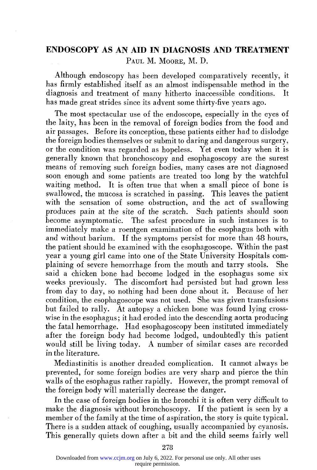## **ENDOSCOPY AS AN AID IN DIAGNOSIS AND TREATMENT**  PAUL M. MOORE, M. D.

Although endoscopy has been developed comparatively recently, it has firmly established itself as an almost indispensable method in the diagnosis and treatment of many hitherto inaccessible conditions. It has made great strides since its advent some thirty-five years ago.

The most spectacular use of the endoscope, especially in the eyes of the laity, has been in the removal of foreign bodies from the food and air passages. Before its conception, these patients either had to dislodge the foreign bodies themselves or submit to daring and dangerous surgery, or the condition was regarded as hopeless. Yet even today when it is generally known that bronchoscopy and esophagoscopy are the surest means of removing such foreign bodies, many cases are not diagnosed soon enough and some patients are treated too long by the watchful waiting method. It is often true that when a small piece of bone is swallowed, the mucosa is scratched in passing. This leaves the patient with the sensation of some obstruction, and the act of swallowing produces pain at the site of the scratch. Such patients should soon become asymptomatic. The safest procedure in such instances is to immediately make a roentgen examination of the esophagus both with and without barium. If the symptoms persist for more than 48 hours, the patient should be examined with the esophagoscope. Within the past year a young girl came into one of the State University Hospitals complaining of severe hemorrhage from the mouth and tarry stools. She said a chicken bone had become lodged in the esophagus some six weeks previously. The discomfort had persisted but had grown less from day to day, so nothing had been done about it. Because of her condition, the esophagoscope was not used. She was given transfusions but failed to rally. At autopsy a chicken bone was found lying crosswise in the esophagus; it had eroded into the descending aorta producing the fatal hemorrhage. Had esophagoscopy been instituted immediately after the foreign body had become lodged, undoubtedly this patient would still be living today. A number of similar cases are recorded in the literature.

Mediastinitis is another dreaded complication. It cannot always be prevented, for some foreign bodies are very sharp and pierce the thin walls of the esophagus rather rapidly. However, the prompt removal of the foreign body will materially decrease the danger.

In the case of foreign bodies in the bronchi it is often very difficult to make the diagnosis without bronchoscopy. If the patient is seen by a member of the family at the time of aspiration, the story is quite typical. There is a sudden attack of coughing, usually accompanied by cyanosis. This generally quiets down after a bit and the child seems fairly well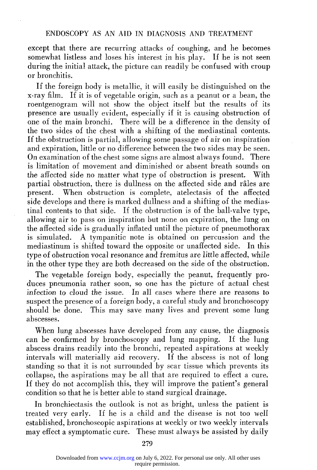except that there are recurring attacks of coughing, and he becomes somewhat listless and loses his interest in his play. If he is not seen during the initial attack, the picture can readily be confused with croup or bronchitis.

If the foreign body is metallic, it will easily be distinguished on the x-ray film. If it is of vegetable origin, such as a peanut or a bean, the roentgenogram will not show the object itself but the results of its presence are usually evident, especially if it is causing obstruction of one of the main bronchi. There will be a difference in the density of the two sides of the chest with a shifting of the mediastinal contents. If the obstruction is partial, allowing some passage of air on inspiration and expiration, little or no difference between the two sides may be seen. On examination of the chest some signs are almost always found. There is limitation of movement and diminished or absent breath sounds on the affected side no matter what type of obstruction is present. With partial obstruction, there is dullness on the affected side and râles are present. When obstruction is complete, atelectasis of the affected side develops and there is marked dullness and a shifting of the mediastinal contents to that side. If the obstruction is of the ball-valve type, allowing air to pass on inspiration but none on expiration, the lung on the affected side is gradually inflated until the picture of pneumothorax is simulated. A tympanitic note is obtained on percussion and the mediastinum is shifted toward the opposite or unaffected side. In this type of obstruction vocal resonance and fremitus are little affected, while in the other type they are both decreased on the side of the obstruction.

The vegetable foreign body, especially the peanut, frequently produces pneumonia rather soon, so one has the picture of actual chest infection to cloud the issue. In all cases where there are reasons to suspect the presence of a foreign body, a careful study and bronchoscopy should be done. This may save many lives and prevent some lung abscesses.

When lung abscesses have developed from any cause, the diagnosis can be confirmed by bronchoscopy and lung mapping. If the lung abscess drains readily into the bronchi, repeated aspirations at weekly intervals will materially aid recovery. If the abscess is not of long standing so that it is not surrounded by scar tissue which prevents its collapse, the aspirations may be all that are required to effect a cure. If they do not accomplish this, they will improve the patient's general condition so that he is better able to stand surgical drainage.

In bronchiectasis the outlook is not as bright, unless the patient is treated very early. If he is a child and the disease is not too well established, bronchoscopic aspirations at weekly or two weekly intervals may effect a symptomatic cure. These must always be assisted by daily

279